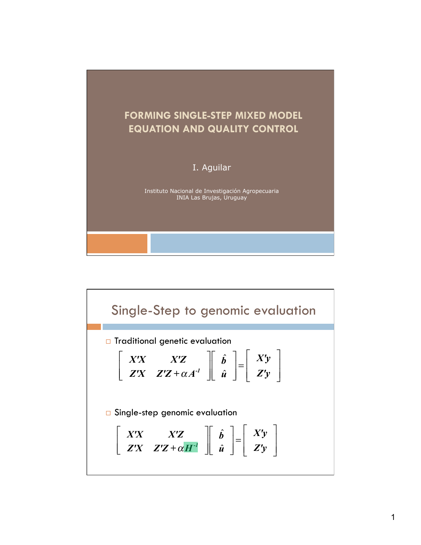

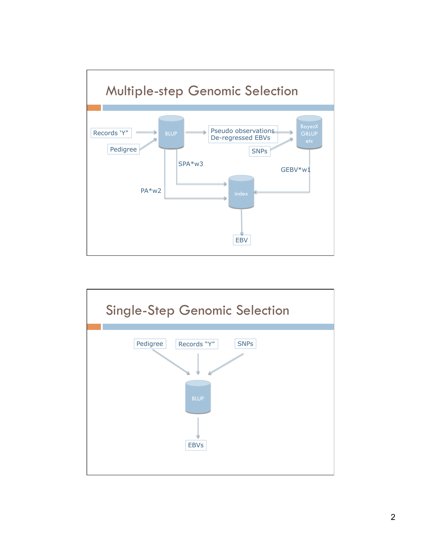

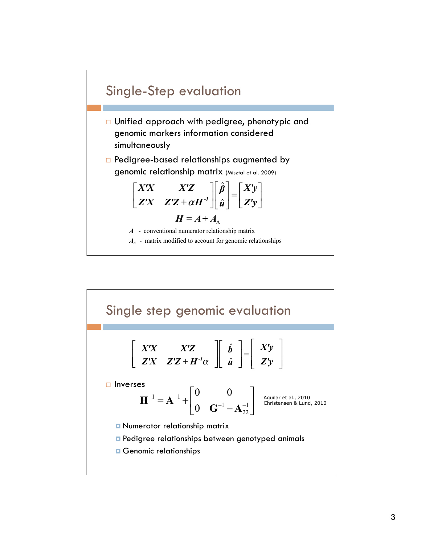

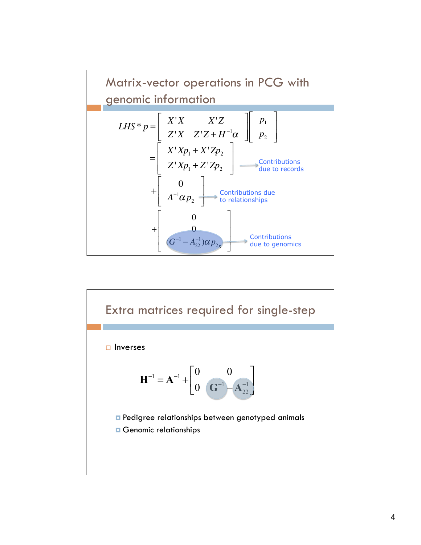

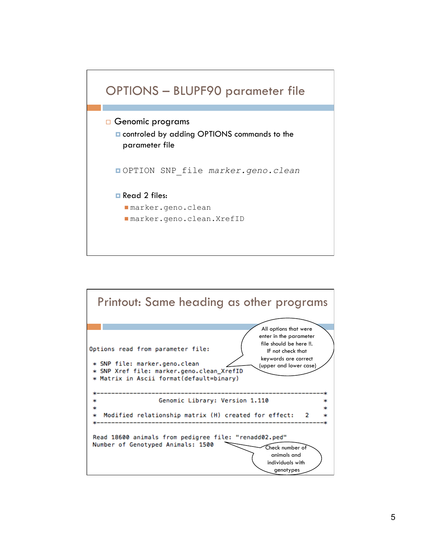

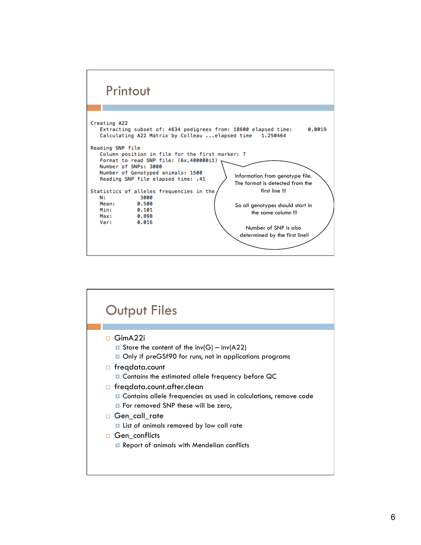

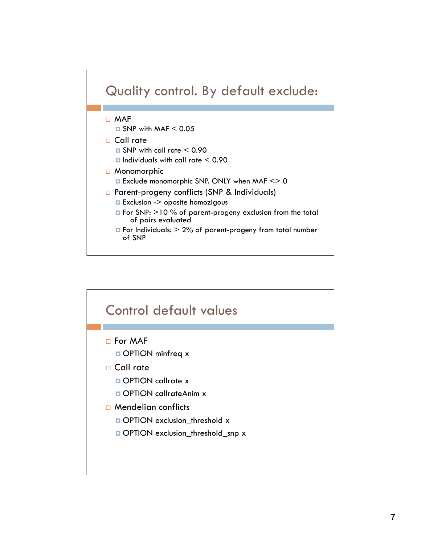

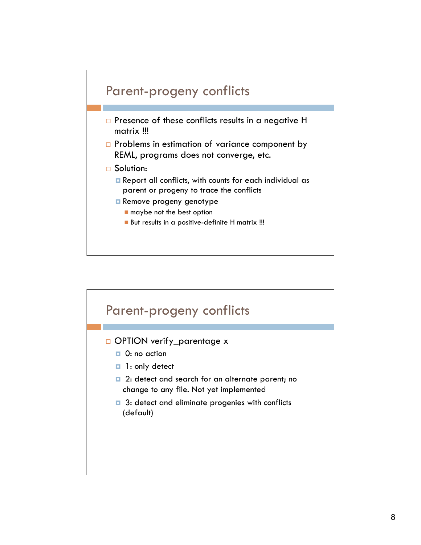

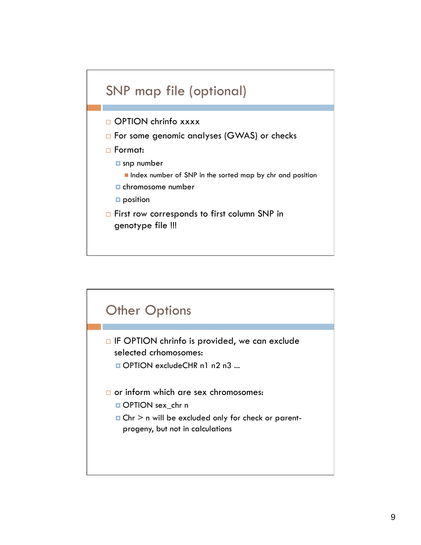

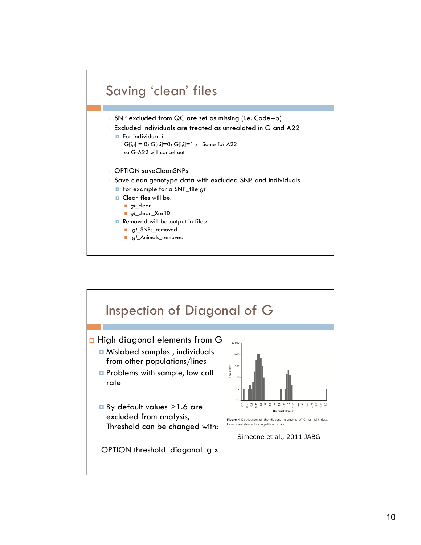

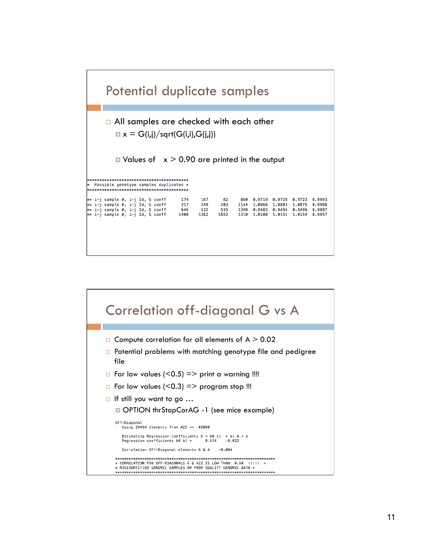| Potential duplicate samples                                                                                                                     |                                                        |                          |                     |                                                         |                  |                                      |                                      |  |
|-------------------------------------------------------------------------------------------------------------------------------------------------|--------------------------------------------------------|--------------------------|---------------------|---------------------------------------------------------|------------------|--------------------------------------|--------------------------------------|--|
| $\Box$ All samples are checked with each other<br>$\mathbf{u} \times$ = G(i,j)/sqrt(G(i,i),G(i,j))                                              |                                                        |                          |                     |                                                         |                  |                                      |                                      |  |
| $\blacksquare$ Values of $x > 0.90$ are printed in the output<br>************************************<br>Possible genotype samples duplicates * |                                                        |                          |                     |                                                         |                  |                                      |                                      |  |
| ** i-j sample #, i-j Id, G coeff<br>** i-j sample #, i-j Id, G coeff<br>** i-j sample #, i-j Id, G coeff<br>** i-j sample #, i-j Id, G coeff    | 174<br>167<br>317<br>249<br>646<br>532<br>1362<br>1400 | 82<br>203<br>535<br>1652 | 860<br>1398<br>1310 | 0.9719<br>1144 1.0866<br>0.9483 0.9494<br>1.0108 1.0151 | 0.9728<br>1,0883 | 0.9723<br>1,0875<br>0.9496<br>1,0154 | 0.9993<br>0.9988<br>0.9987<br>0.9957 |  |